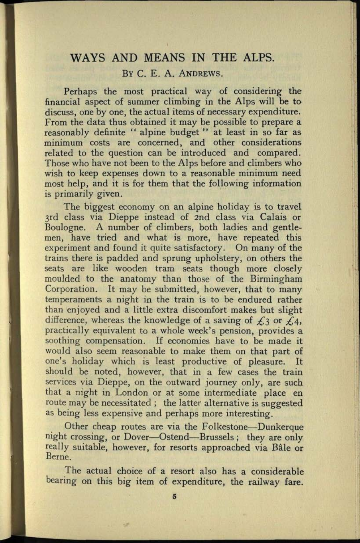## **WAYS AND** MEANS IN **THE ALPS.**

## BY C. E. A. ANDREWS.

Perhaps the most practical way of considering the financial aspect of summer climbing in the Alps will be to discuss, one by one, the actual items of necessary expenditure. From the data thus obtained it may be possible to prepare <sup>a</sup> reasonably definite " alpine budget " at least in so far as minimum costs are concerned, and other considerations related to the question can be introduced and compared. Those who have not been to the Alps before and climbers who wish to keep expenses down to a reasonable minimum need most help, and it is for them that the following information is primarily given.

The biggest economy on an alpine holiday is to travel 3rd class via Dieppe instead of 2nd class via Calais or Boulogne. A number of climbers, both ladies and gentlemen, have tried and what is more, have repeated this experiment and found it quite satisfactory. On many of the trains there is padded and sprung upholstery, on others the seats are like wooden tram seats though more closely moulded to the anatomy than those of the Birmingham Corporation. It may be submitted, however, that to many temperaments a night in the train is to be endured rather than enjoyed and a little extra discomfort makes but slight difference, whereas the knowledge of a saving of  $f$ , 3 or  $f$ , 4, practically equivalent to a whole week's pension, provides <sup>a</sup> soothing compensation. If economies have to be made it would also seem reasonable to make them on that part of one's holiday which is least productive of pleasure. It should be noted, however, that in a few cases the train services via Dieppe, on the outward journey only, are such that a night in London or at some intermediate place en route may be necessitated ; the latter alternative is suggested as being less expensive and perhaps more interesting.

Other cheap routes are via the Folkestone—Dunkerque night crossing, or Dover—Ostend—Brussels; they are only really suitable, however, for resorts approached via Bale or Berne.

The actual choice of a resort also has a considerable bearing on this big item of expenditure, the railway fare.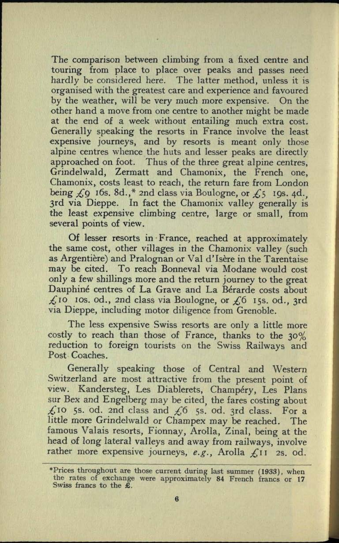The comparison between climbing from a fixed centre and touring from place to place over peaks and passes need hardly be considered here. The latter method, unless it is organised with the greatest care and experience and favoured by the weather, will be very much more expensive. On the other hand *a.* move from one centre to another might be made at the end of a week without entailing much extra cost. Generally speaking the resorts in France involve the least expensive journeys, and by resorts is meant only those alpine centres whence the huts and lesser peaks are directly approached on foot. Thus of the three great alpine centres, Grindelwald, Zermatt and Chamonix, the French one, Chamonix, costs least to reach, the return fare from London being *£*<sub>9</sub> *16s.* 8d.,\* 2nd class via Boulogne, or £<sup>5</sup> *19s.* 4d. 3rd via Dieppe. In fact the Chamonix valley generally is the least expensive climbing centre, large or small, from several points of view.

Of lesser resorts in France, reached at approximately the same cost, other villages in the Chamonix valley (such as Argentière) and Pralognan or Val d'Isère in the Tarentaise may be cited. To reach Bonneval via Modane would cost only a few shillings more and the return journey to the grea<sup>t</sup> Dauphiné centres of La Grave and La Bérarde costs about *£\o* IDS. od., 2nd class via Boulogne, or *£6* 155. od., 3rd via Dieppe, including motor diligence from Grenoble.

The less expensive Swiss resorts are only a little more costly to reach than those of France, thanks to the 30% reduction to foreign tourists on the Swiss Railways and Post Coaches.

Generally speaking those of Central and Western Switzerland are most attractive from the present point of view. Kandersteg, Les Diablerets, Champéry, Les Plans sur Bex and Engelberg may be cited, the fares costing about *£iQ* 53. od. 2nd class and *£6* 55. od. 3rd class. For <sup>a</sup> little more Grindelwald or Champex may be reached. The famous Valais resorts, Fionnay, Arolla, Zinal, being at the head of long lateral valleys and away from railways, involve rather more expensive journeys, *e.g.,* Arolla *£11* 2s. od.

<sup>\*</sup>Prices throughout are those current during last summer (1933), when the rates of exchange were approximately 84 French francs or 17 Swiss francs to the £.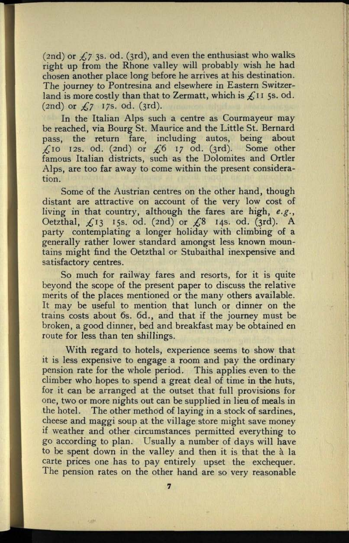(2nd) or *£7* 33. od. (3rd), and even the enthusiast who walks right up from the Rhone valley will probably wish he had chosen another place long before he arrives at his destination. The journey to Pontresina and elsewhere in Eastern Switzerland is more costly than that to Zermatt, which is £11 5s. od.  $(2nd)$  or  $f,7$  17s. od.  $(3rd)$ .

In the Italian Alps such a centre as Courmayeur may be reached, via Bourg St. Maurice and the Little St. Bernard pass, the return fare, including autos, being about *£10* I2s. od. (2nd) or *£6 17* od. (3rd). Some other famous Italian districts, such as the Dolomites and Ortler Alps, are too far away to come within the present consideration.

Some of the Austrian centres on the other hand, though distant are attractive on account of the very low cost of living in that country, although the fares are high, *e.g.,*  Oetzthal, ^13 153. od. (2nd) or *£%* 143. od. (3rd). A party contemplating a longer holiday with climbing of <sup>a</sup> generally rather lower standard amongst less known mountains might find the Oetzthal or Stubaithal inexpensive and satisfactory centres.

So much for railway fares and resorts, for it is quite beyond the scope of the present paper to discuss the relative merits of the places mentioned or the many others available. It may be useful to mention that lunch or dinner on the trains costs about 6s. 6d., and that if the journey must be broken, a good dinner, bed and breakfast may be obtained en route for less than ten shillings.

With regard to hotels, experience seems to show that it is less expensive to engage a room and pay the ordinary pension rate for the whole period. This applies even to the climber who hopes to spend a great deal of time in the huts, for it can be arranged at the outset that full provisions for one, two or more nights out can be supplied in lieu of meals in the hotel. The other method of laying in a stock of sardines, cheese and maggi soup at the village store might save money if weather and other circumstances permitted everything to go according to plan. Usually a number of days will have to be spent down in the valley and then it is that the à la carte prices one has to pay entirely upset the exchequer. The pension rates on the other hand are so very reasonable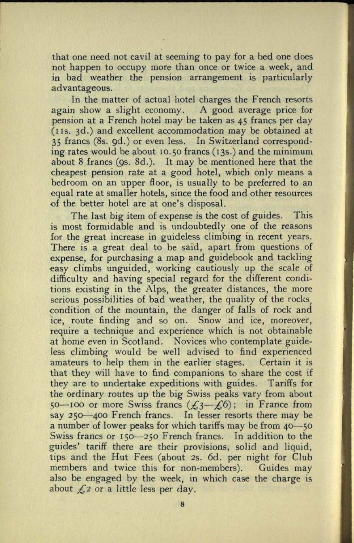that one need not cavil at seeming to pay for a bed one does not happen to occupy more than once or twice a week, and in bad weather the pension arrangement is particularly advantageous.

In the matter of actual hotel charges the French resorts again show a slight economy. A good average price for pension at a French hotel may be taken as 45 francs per day  $(11s. 3d.)$  and excellent accommodation may be obtained at 35 francs (8s. gd.) or even less. In Switzerland corresponding rates would be about 10.50 francs (i3s.) and the minimum about 8 francs (95. 8d.). It may be mentioned here that the cheapest pension rate at a good hotel, which only means <sup>a</sup> bedroom on an upper floor, is usually to be preferred to an equal rate at smaller hotels, since the food and other resources of the better hotel are at one's disposal.

The last big item of expense is the cost of guides. This is most formidable and is undoubtedly one of the reasons for the great increase in guideless climbing in recent years. There is a great deal to be said, apart from questions of expense, for purchasing a map and guidebook and tackling easy climbs unguided, working cautiously up the scale of difficulty and having special regard for the different conditions existing in the Alps, the greater distances, the more serious possibilities of bad weather, the quality of the rocks, condition of the mountain, the danger of falls of rock and ice, route finding and so on. Snow and ice, moreover, require a technique and experience which is not obtainable at home even in Scotland. Novices who contemplate guideless climbing would be well advised to find experienced amateurs to help them in the earlier stages. Certain it is that they will have to find companions to share the cost if they are to undertake expeditions with guides. Tariffs for the ordinary routes up the big Swiss peaks vary from about 50 100 or more Swiss francs  $(\text{\textsterling}3 - \text{\textsterling}6)$ ; in France from say 250 -400 French francs. In lesser resorts there may be a number of lower peaks for which tariffs may be from 40–50 Swiss francs or 150-250 French francs. In addition to the guides' tariff there are their provisions, solid and liquid, tips and the Hut Fees (about 2s. 6d. per night for Club members and twice this for non-members). Guides may also be engaged by the week, in which case the charge is about *£2* or a little less per day.